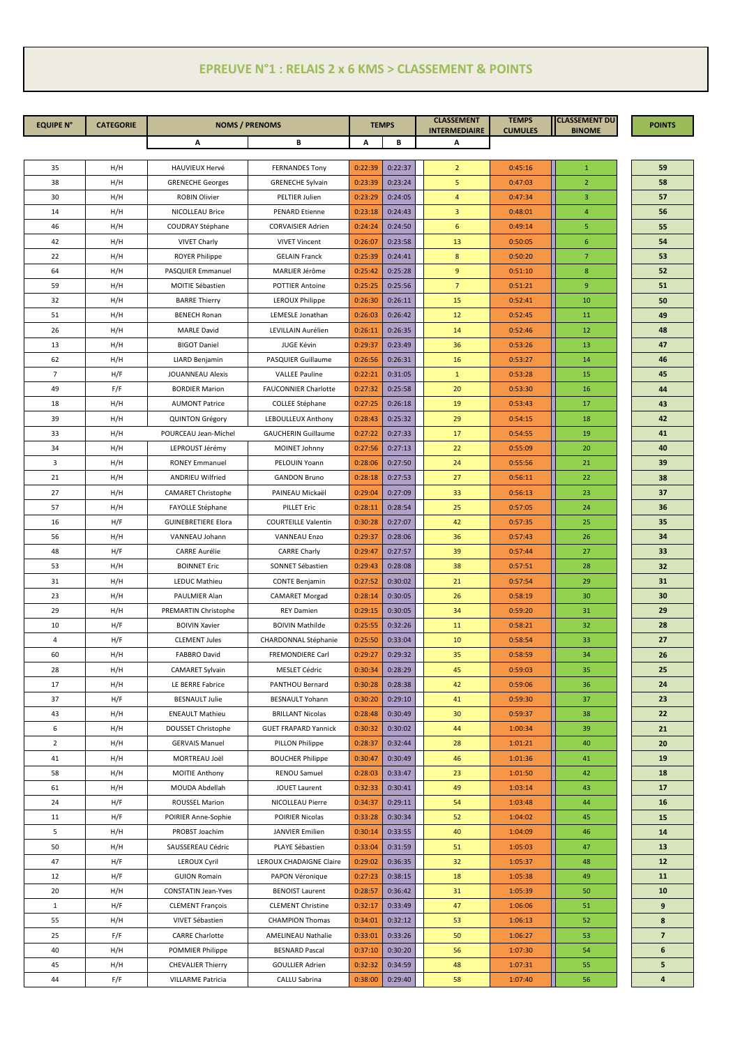## **EPREUVE N°1 : RELAIS 2 x 6 KMS > CLASSEMENT & POINTS**

| <b>EQUIPE N°</b> | <b>CATEGORIE</b> | <b>NOMS / PRENOMS</b>                   |                                         | <b>TEMPS</b>       |                    | <b>CLASSEMENT</b><br><b>INTERMEDIAIRE</b> | <b>TEMPS</b><br><b>CUMULES</b> | <b>CLASSEMENT DU</b><br><b>BINOME</b> | <b>POINTS</b>           |
|------------------|------------------|-----------------------------------------|-----------------------------------------|--------------------|--------------------|-------------------------------------------|--------------------------------|---------------------------------------|-------------------------|
|                  |                  | Α                                       | В                                       | А<br>В             |                    | А                                         |                                |                                       |                         |
|                  |                  |                                         |                                         |                    |                    |                                           |                                |                                       |                         |
| 35               | H/H              | <b>HAUVIEUX Hervé</b>                   | <b>FERNANDES Tony</b>                   | 0:22:39            | 0:22:37            | $\overline{2}$                            | 0:45:16                        | 1                                     | 59                      |
| 38               | H/H              | <b>GRENECHE Georges</b>                 | <b>GRENECHE Sylvain</b>                 | 0:23:39            | 0:23:24            | 5                                         | 0:47:03                        | $\overline{2}$                        | 58<br>57                |
| 30<br>14         | H/H<br>H/H       | <b>ROBIN Olivier</b><br>NICOLLEAU Brice | PELTIER Julien<br><b>PENARD Etienne</b> | 0:23:29<br>0:23:18 | 0:24:05<br>0:24:43 | $\overline{4}$<br>$\overline{3}$          | 0:47:34<br>0:48:01             | 3<br>$\overline{4}$                   | 56                      |
| 46               | H/H              | COUDRAY Stéphane                        | <b>CORVAISIER Adrien</b>                | 0:24:24            | 0:24:50            | 6                                         | 0:49:14                        | 5                                     | 55                      |
| 42               | H/H              | <b>VIVET Charly</b>                     | <b>VIVET Vincent</b>                    | 0:26:07            | 0:23:58            | 13                                        | 0:50:05                        | 6                                     | 54                      |
| 22               | H/H              | <b>ROYER Philippe</b>                   | <b>GELAIN Franck</b>                    | 0:25:39            | 0:24:41            | 8                                         | 0:50:20                        | $\overline{7}$                        | 53                      |
| 64               | H/H              | <b>PASQUIER Emmanuel</b>                | MARLIER Jérôme                          | 0:25:42            | 0:25:28            | 9                                         | 0:51:10                        | 8                                     | 52                      |
| 59               | H/H              | MOITIE Sébastien                        | <b>POTTIER Antoine</b>                  | 0:25:25            | 0:25:56            | $7\overline{ }$                           | 0:51:21                        | 9                                     | 51                      |
| 32               | H/H              | <b>BARRE Thierry</b>                    | LEROUX Philippe                         | 0:26:30            | 0:26:11            | 15                                        | 0:52:41                        | 10                                    | 50                      |
| 51               | H/H              | <b>BENECH Ronan</b>                     | LEMESLE Jonathan                        | 0:26:03            | 0:26:42            | 12                                        | 0:52:45                        | 11                                    | 49                      |
| 26               | H/H              | <b>MARLE David</b>                      | LEVILLAIN Aurélien                      | 0:26:11            | 0:26:35            | 14                                        | 0:52:46                        | 12                                    | 48                      |
| 13               | H/H              | <b>BIGOT Daniel</b>                     | JUGE Kévin                              | 0:29:37            | 0:23:49            | 36                                        | 0:53:26                        | 13                                    | 47                      |
| 62               | H/H              | LIARD Benjamin                          | PASQUIER Guillaume                      | 0:26:56            | 0:26:31            | 16                                        | 0:53:27                        | 14                                    | 46                      |
| $\overline{7}$   | H/F              | <b>JOUANNEAU Alexis</b>                 | <b>VALLEE Pauline</b>                   | 0:22:21            | 0:31:05            | $\mathbf{1}$                              | 0:53:28                        | 15                                    | 45                      |
| 49               | F/F              | <b>BORDIER Marion</b>                   | <b>FAUCONNIER Charlotte</b>             | 0:27:32            | 0:25:58            | 20                                        | 0:53:30                        | 16                                    | 44                      |
| 18               | H/H              | <b>AUMONT Patrice</b>                   | COLLEE Stéphane                         | 0:27:25            | 0:26:18            | 19                                        | 0:53:43                        | 17                                    | 43                      |
| 39               | H/H              | QUINTON Grégory                         | LEBOULLEUX Anthony                      | 0:28:43            | 0:25:32            | 29                                        | 0:54:15                        | 18                                    | 42                      |
| 33               | H/H              | POURCEAU Jean-Michel                    | <b>GAUCHERIN Guillaume</b>              | 0:27:22            | 0:27:33            | 17                                        | 0:54:55                        | 19                                    | 41                      |
| 34               | H/H              | LEPROUST Jérémy                         | MOINET Johnny                           | 0:27:56            | 0:27:13            | 22                                        | 0:55:09                        | 20                                    | 40                      |
| $\overline{3}$   | H/H              | <b>RONEY Emmanuel</b>                   | PELOUIN Yoann                           | 0:28:06            | 0:27:50            | 24                                        | 0:55:56                        | 21                                    | 39                      |
| 21               | H/H              | <b>ANDRIEU Wilfried</b>                 | <b>GANDON Bruno</b>                     | 0:28:18            | 0:27:53            | 27                                        | 0:56:11                        | 22                                    | 38                      |
| 27               | H/H              | <b>CAMARET Christophe</b>               | PAINEAU Mickaël                         | 0:29:04            | 0:27:09            | 33                                        | 0:56:13                        | 23                                    | 37                      |
| 57               | H/H              | FAYOLLE Stéphane                        | <b>PILLET Eric</b>                      | 0:28:11            | 0:28:54            | 25                                        | 0:57:05                        | 24                                    | 36                      |
| 16               | H/F              | <b>GUINEBRETIERE Elora</b>              | <b>COURTEILLE Valentin</b>              | 0:30:28            | 0:27:07            | 42                                        | 0:57:35                        | 25                                    | 35                      |
| 56               | H/H              | VANNEAU Johann                          | <b>VANNEAU Enzo</b>                     | 0:29:37            | 0:28:06            | 36                                        | 0:57:43                        | 26                                    | 34                      |
| 48               | H/F              | <b>CARRE Aurélie</b>                    | <b>CARRE Charly</b>                     | 0:29:47            | 0:27:57            | 39                                        | 0:57:44                        | 27                                    | 33                      |
| 53               | H/H              | <b>BOINNET Eric</b>                     | SONNET Sébastien                        | 0:29:43            | 0:28:08            | 38                                        | 0:57:51                        | 28                                    | 32                      |
| 31               | H/H              | LEDUC Mathieu                           | <b>CONTE Benjamin</b>                   | 0:27:52            | 0:30:02            | 21                                        | 0:57:54                        | 29                                    | 31                      |
| 23               | H/H              | PAULMIER Alan                           | <b>CAMARET Morgad</b>                   | 0:28:14            | 0:30:05            | 26                                        | 0:58:19                        | 30                                    | 30                      |
| 29               | H/H              | PREMARTIN Christophe                    | <b>REY Damien</b>                       | 0:29:15            | 0:30:05            | 34                                        | 0:59:20                        | 31                                    | 29                      |
| 10               | H/F              | <b>BOIVIN Xavier</b>                    | <b>BOIVIN Mathilde</b>                  | 0:25:55            | 0:32:26            | 11                                        | 0:58:21                        | 32                                    | 28                      |
| $\overline{4}$   | H/F              | <b>CLEMENT Jules</b>                    | CHARDONNAL Stéphanie                    | 0:25:50            | 0:33:04            | 10                                        | 0:58:54                        | 33                                    | 27                      |
| 60               | H/H              | FABBRO David                            | FREMONDIERE Carl                        | 0:29:27            | 0:29:32            | 35                                        | 0:58:59                        | 34                                    | 26                      |
| 28               | H/H              | <b>CAMARET Sylvain</b>                  | MESLET Cédric                           | 0:30:34            | 0:28:29            | 45                                        | 0:59:03                        | 35                                    | 25                      |
| 17               | H/H              | LE BERRE Fabrice                        | PANTHOU Bernard                         | 0:30:28            | 0:28:38            | 42                                        | 0:59:06                        | 36                                    | 24                      |
| 37               | H/F              | <b>BESNAULT Julie</b>                   | <b>BESNAULT Yohann</b>                  | 0:30:20            | 0:29:10            | 41                                        | 0:59:30                        | 37                                    | 23                      |
| 43               | H/H              | <b>ENEAULT Mathieu</b>                  | <b>BRILLANT Nicolas</b>                 | 0:28:48            | 0:30:49            | 30                                        | 0:59:37                        | 38                                    | 22                      |
| 6                | H/H              | DOUSSET Christophe                      | <b>GUET FRAPARD Yannick</b>             | 0:30:32            | 0:30:02            | 44                                        | 1:00:34                        | 39                                    | 21                      |
| $\overline{2}$   | H/H              | <b>GERVAIS Manuel</b>                   | PILLON Philippe                         | 0:28:37            | 0:32:44            | 28                                        | 1:01:21                        | 40                                    | 20                      |
| 41               | H/H              | MORTREAU Joël                           | <b>BOUCHER Philippe</b>                 | 0:30:47            | 0:30:49            | 46                                        | 1:01:36                        | 41                                    | 19                      |
| 58               | H/H              | <b>MOITIE Anthony</b>                   | RENOU Samuel                            | 0:28:03            | 0:33:47            | 23                                        | 1:01:50                        | 42                                    | 18                      |
| 61               | H/H              | MOUDA Abdellah                          | JOUET Laurent                           | 0:32:33            | 0:30:41            | 49                                        | 1:03:14                        | 43                                    | 17                      |
| 24               | H/F              | ROUSSEL Marion                          | NICOLLEAU Pierre                        | 0:34:37            | 0:29:11            | 54                                        | 1:03:48                        | 44                                    | 16                      |
| 11               | H/F              | POIRIER Anne-Sophie                     | POIRIER Nicolas                         | 0:33:28            | 0:30:34            | 52                                        | 1:04:02                        | 45                                    | 15                      |
| 5                | H/H              | PROBST Joachim                          | <b>JANVIER Emilien</b>                  | 0:30:14            | 0:33:55            | 40                                        | 1:04:09                        | 46                                    | 14                      |
| 50               | H/H              | SAUSSEREAU Cédric                       | PLAYE Sébastien                         | 0:33:04            | 0:31:59            | 51                                        | 1:05:03                        | 47                                    | 13                      |
| 47               | H/F              | <b>LEROUX Cyril</b>                     | LEROUX CHADAIGNE Claire                 | 0:29:02            | 0:36:35            | 32                                        | 1:05:37                        | 48                                    | 12                      |
| 12               | H/F              | <b>GUION Romain</b>                     | PAPON Véronique                         | 0:27:23            | 0:38:15            | 18                                        | 1:05:38                        | 49                                    | 11                      |
| 20               | H/H              | <b>CONSTATIN Jean-Yves</b>              | <b>BENOIST Laurent</b>                  | 0:28:57            | 0:36:42            | 31                                        | 1:05:39                        | 50                                    | 10                      |
| $\mathbf{1}$     | H/F              | <b>CLEMENT François</b>                 | <b>CLEMENT Christine</b>                | 0:32:17            | 0:33:49            | 47                                        | 1:06:06                        | 51                                    | 9                       |
| 55               | H/H              | VIVET Sébastien                         | <b>CHAMPION Thomas</b>                  | 0:34:01            | 0:32:12            | 53                                        | 1:06:13                        | 52                                    | 8                       |
| 25               | F/F              | <b>CARRE Charlotte</b>                  | AMELINEAU Nathalie                      | 0:33:01            | 0:33:26            | 50                                        | 1:06:27                        | 53                                    | $\overline{\mathbf{z}}$ |
| 40               | H/H              | POMMIER Philippe                        | <b>BESNARD Pascal</b>                   | 0:37:10            | 0:30:20            | 56                                        | 1:07:30                        | 54                                    | 6                       |
| 45               | H/H              | <b>CHEVALIER Thierry</b>                | <b>GOULLIER Adrien</b>                  | 0:32:32            | 0:34:59            | 48                                        | 1:07:31                        | 55                                    | 5                       |
| 44               | F/F              | <b>VILLARME Patricia</b>                | CALLU Sabrina                           | 0:38:00            | 0:29:40            | 58                                        | 1:07:40                        | 56                                    | 4                       |